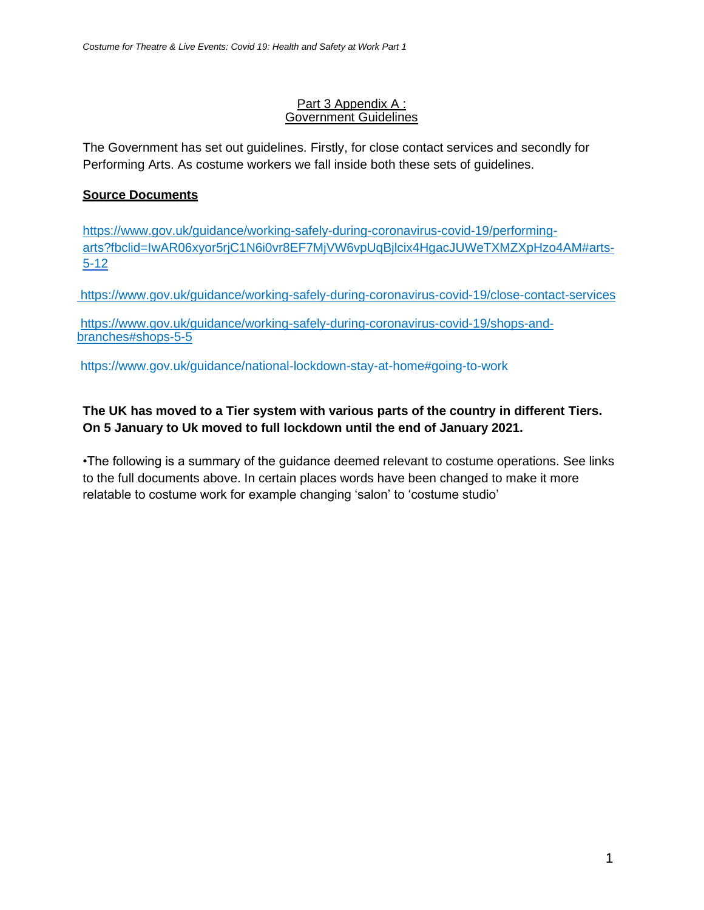#### Part 3 Appendix A : Government Guidelines

The Government has set out guidelines. Firstly, for close contact services and secondly for Performing Arts. As costume workers we fall inside both these sets of guidelines.

### **Source Documents**

[https://www.gov.uk/guidance/working-safely-during-coronavirus-covid-19/performing](https://www.gov.uk/guidance/working-safely-during-coronavirus-covid-19/performing-)[arts?fbclid=IwAR06xyor5rjC1N6i0vr8EF7MjVW6vpUqBjlcix4HgacJUWeTXMZXpHzo4AM#arts-](https://www.gov.uk/guidance/working-safely-during-coronavirus-covid-19/performing-arts?fbclid=IwAR06xyor5rjC1N6i0vr8EF7MjVW6vpUqBjlcix4HgacJUWeTXMZXpHzo4AM#arts-5-12)[5-12](https://www.gov.uk/guidance/working-safely-during-coronavirus-covid-19/performing-arts?fbclid=IwAR06xyor5rjC1N6i0vr8EF7MjVW6vpUqBjlcix4HgacJUWeTXMZXpHzo4AM#arts-5-12)

<https://www.gov.uk/guidance/working-safely-during-coronavirus-covid-19/close-contact-services>

[https://www.gov.uk/guidance/working-safely-during-coronavirus-covid-19/shops-and](https://www.gov.uk/guidance/working-safely-during-coronavirus-covid-19/shops-and-branches#shops-5-5)[branches#shops-5-5](https://www.gov.uk/guidance/working-safely-during-coronavirus-covid-19/shops-and-branches#shops-5-5)

https://www.gov.uk/guidance/national-lockdown-stay-at-home#going-to-work

## **The UK has moved to a Tier system with various parts of the country in different Tiers. On 5 January to Uk moved to full lockdown until the end of January 2021.**

•The following is a summary of the guidance deemed relevant to costume operations. See links to the full documents above. In certain places words have been changed to make it more relatable to costume work for example changing 'salon' to 'costume studio'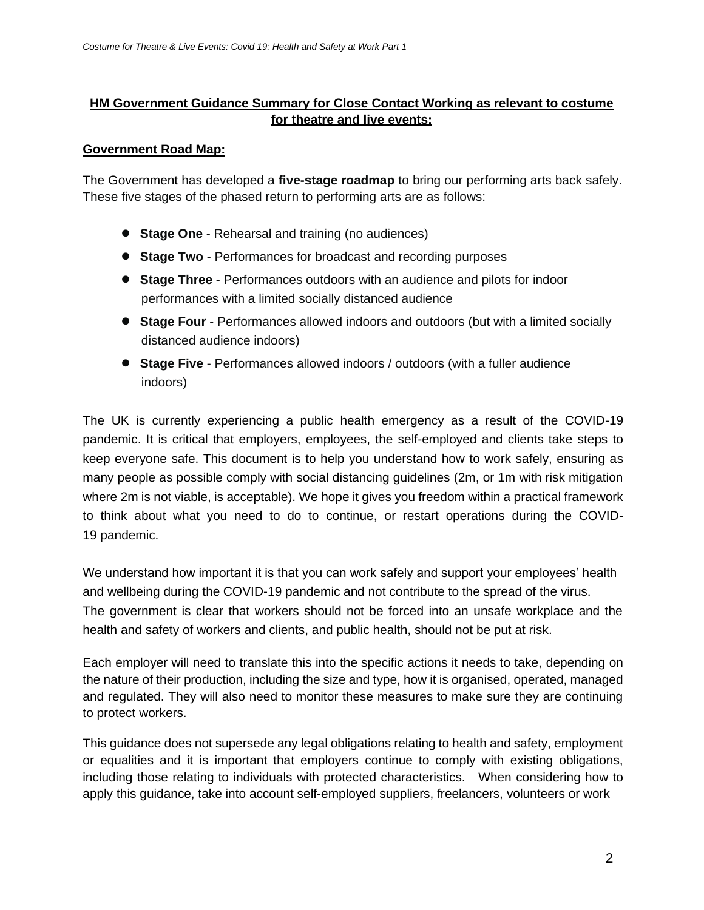## **HM Government Guidance Summary for Close Contact Working as relevant to costume for theatre and live events:**

#### **Government Road Map:**

The Government has developed a **five-stage roadmap** to bring our performing arts back safely. These five stages of the phased return to performing arts are as follows:

- **Stage One**  Rehearsal and training (no audiences)
- **Stage Two** Performances for broadcast and recording purposes
- **Stage Three**  Performances outdoors with an audience and pilots for indoor performances with a limited socially distanced audience
- **Stage Four** Performances allowed indoors and outdoors (but with a limited socially distanced audience indoors)
- **Stage Five** Performances allowed indoors / outdoors (with a fuller audience indoors)

The UK is currently experiencing a public health emergency as a result of the COVID-19 pandemic. It is critical that employers, employees, the self-employed and clients take steps to keep everyone safe. This document is to help you understand how to work safely, ensuring as many people as possible comply with social distancing guidelines (2m, or 1m with risk mitigation where 2m is not viable, is acceptable). We hope it gives you freedom within a practical framework to think about what you need to do to continue, or restart operations during the COVID-19 pandemic.

We understand how important it is that you can work safely and support your employees' health and wellbeing during the COVID-19 pandemic and not contribute to the spread of the virus. The government is clear that workers should not be forced into an unsafe workplace and the health and safety of workers and clients, and public health, should not be put at risk.

Each employer will need to translate this into the specific actions it needs to take, depending on the nature of their production, including the size and type, how it is organised, operated, managed and regulated. They will also need to monitor these measures to make sure they are continuing to protect workers.

This guidance does not supersede any legal obligations relating to health and safety, employment or equalities and it is important that employers continue to comply with existing obligations, including those relating to individuals with protected characteristics. When considering how to apply this guidance, take into account self-employed suppliers, freelancers, volunteers or work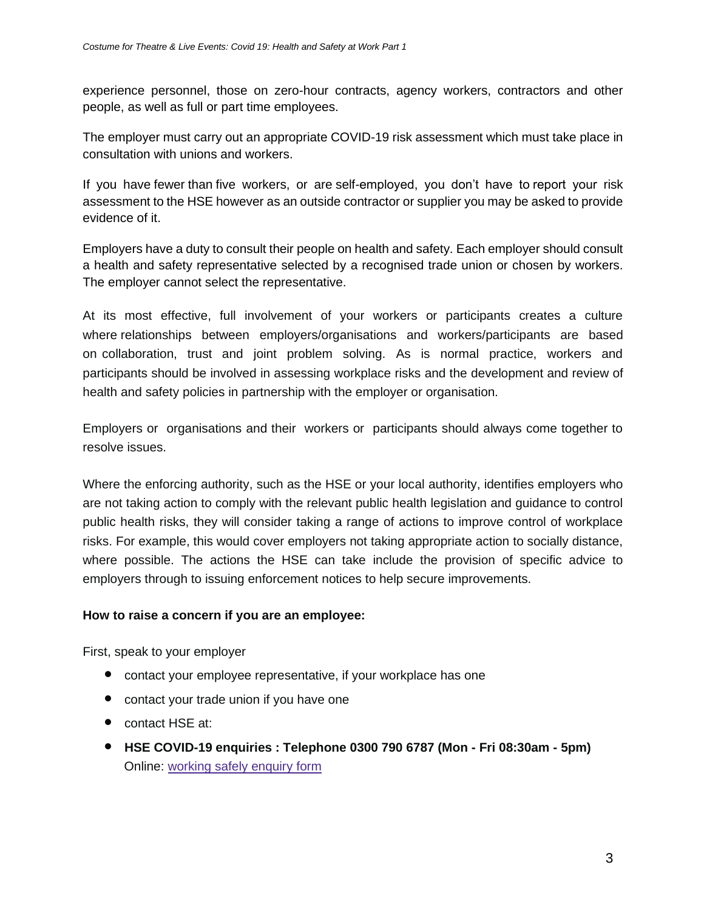experience personnel, those on zero-hour contracts, agency workers, contractors and other people, as well as full or part time employees.

The employer must carry out an appropriate COVID-19 risk assessment which must take place in consultation with unions and workers.

If you have fewer than five workers, or are self-employed, you don't have to report your risk assessment to the HSE however as an outside contractor or supplier you may be asked to provide evidence of it.

Employers have a duty to consult their people on health and safety. Each employer should consult a health and safety representative selected by a recognised trade union or chosen by workers. The employer cannot select the representative.

At its most effective, full involvement of your workers or participants creates a culture where relationships between employers/organisations and workers/participants are based on collaboration, trust and joint problem solving. As is normal practice, workers and participants should be involved in assessing workplace risks and the development and review of health and safety policies in partnership with the employer or organisation.

Employers or organisations and their workers or participants should always come together to resolve issues.

Where the enforcing authority, such as the HSE or your local authority, identifies employers who are not taking action to comply with the relevant public health legislation and guidance to control public health risks, they will consider taking a range of actions to improve control of workplace risks. For example, this would cover employers not taking appropriate action to socially distance, where possible. The actions the HSE can take include the provision of specific advice to employers through to issuing enforcement notices to help secure improvements.

### **How to raise a concern if you are an employee:**

First, speak to your employer

- contact your employee representative, if your workplace has one
- contact your trade union if you have one
- contact HSE at:
- **HSE COVID-19 enquiries : Telephone 0300 790 6787 (Mon - Fri 08:30am - 5pm)** Online: [working safely enquiry form](https://hsegov.microsoftcrmportals.com/workingsafelyenquiries/)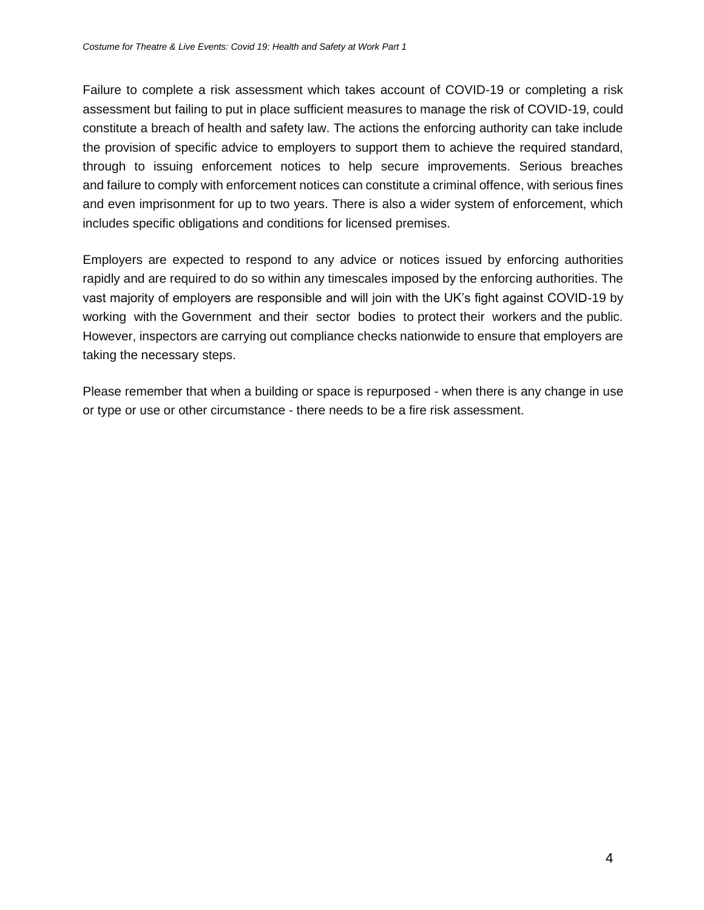Failure to complete a risk assessment which takes account of COVID-19 or completing a risk assessment but failing to put in place sufficient measures to manage the risk of COVID-19, could constitute a breach of health and safety law. The actions the enforcing authority can take include the provision of specific advice to employers to support them to achieve the required standard, through to issuing enforcement notices to help secure improvements. Serious breaches and failure to comply with enforcement notices can constitute a criminal offence, with serious fines and even imprisonment for up to two years. There is also a wider system of enforcement, which includes specific obligations and conditions for licensed premises.

Employers are expected to respond to any advice or notices issued by enforcing authorities rapidly and are required to do so within any timescales imposed by the enforcing authorities. The vast majority of employers are responsible and will join with the UK's fight against COVID-19 by working with the Government and their sector bodies to protect their workers and the public. However, inspectors are carrying out compliance checks nationwide to ensure that employers are taking the necessary steps.

Please remember that when a building or space is repurposed - when there is any change in use or type or use or other circumstance - there needs to be a fire risk assessment.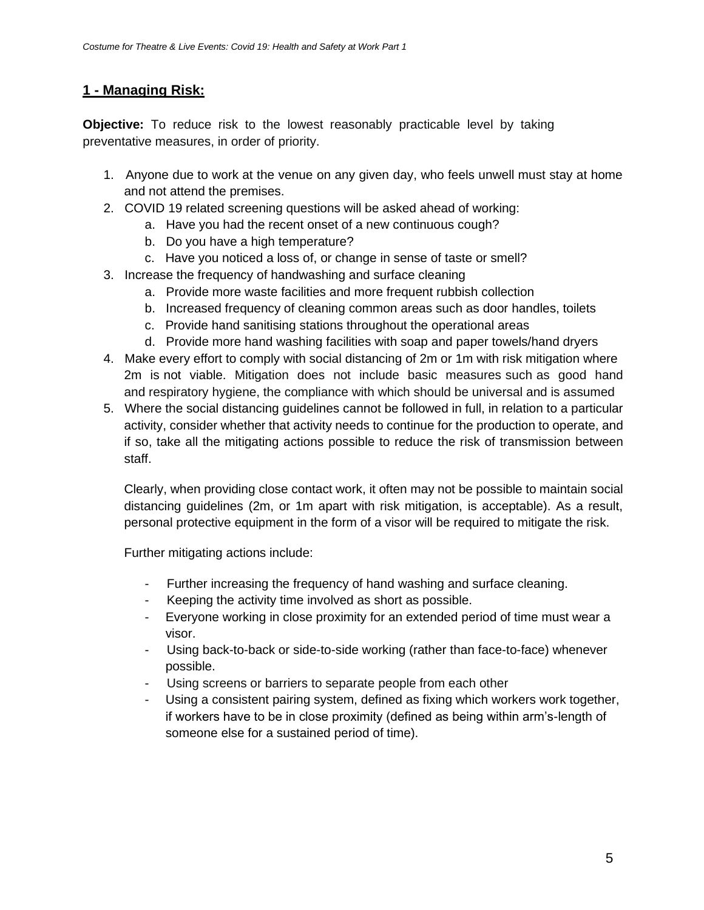# **1 - Managing Risk:**

**Objective:** To reduce risk to the lowest reasonably practicable level by taking preventative measures, in order of priority.

- 1. Anyone due to work at the venue on any given day, who feels unwell must stay at home and not attend the premises.
- 2. COVID 19 related screening questions will be asked ahead of working:
	- a. Have you had the recent onset of a new continuous cough?
	- b. Do you have a high temperature?
	- c. Have you noticed a loss of, or change in sense of taste or smell?
- 3. Increase the frequency of handwashing and surface cleaning
	- a. Provide more waste facilities and more frequent rubbish collection
	- b. Increased frequency of cleaning common areas such as door handles, toilets
	- c. Provide hand sanitising stations throughout the operational areas
	- d. Provide more hand washing facilities with soap and paper towels/hand dryers
- 4. Make every effort to comply with social distancing of 2m or 1m with risk mitigation where 2m is not viable. Mitigation does not include basic measures such as good hand and respiratory hygiene, the compliance with which should be universal and is assumed
- 5. Where the social distancing guidelines cannot be followed in full, in relation to a particular activity, consider whether that activity needs to continue for the production to operate, and if so, take all the mitigating actions possible to reduce the risk of transmission between staff.

Clearly, when providing close contact work, it often may not be possible to maintain social distancing guidelines (2m, or 1m apart with risk mitigation, is acceptable). As a result, personal protective equipment in the form of a visor will be required to mitigate the risk.

Further mitigating actions include:

- Further increasing the frequency of hand washing and surface cleaning.
- Keeping the activity time involved as short as possible.
- Everyone working in close proximity for an extended period of time must wear a visor.
- Using back-to-back or side-to-side working (rather than face-to-face) whenever possible.
- Using screens or barriers to separate people from each other
- Using a consistent pairing system, defined as fixing which workers work together, if workers have to be in close proximity (defined as being within arm's-length of someone else for a sustained period of time).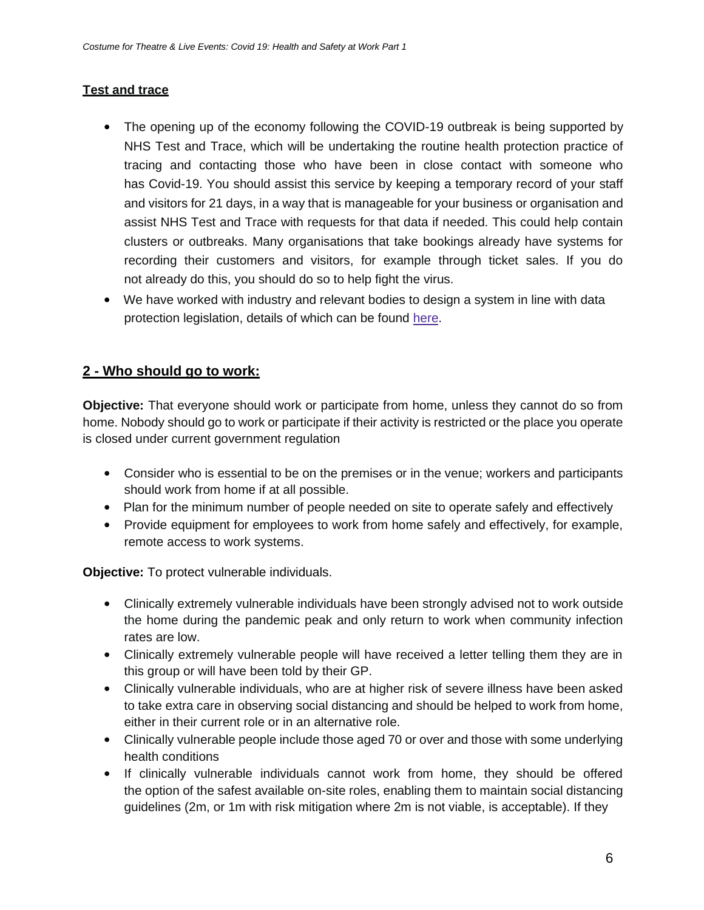## **Test and trace**

- The opening up of the economy following the COVID-19 outbreak is being supported by NHS Test and Trace, which will be undertaking the routine health protection practice of tracing and contacting those who have been in close contact with someone who has Covid-19. You should assist this service by keeping a temporary record of your staff and visitors for 21 days, in a way that is manageable for your business or organisation and assist NHS Test and Trace with requests for that data if needed. This could help contain clusters or outbreaks. Many organisations that take bookings already have systems for recording their customers and visitors, for example through ticket sales. If you do not already do this, you should do so to help fight the virus.
- We have worked with industry and relevant bodies to design a system in line with data protection legislation, details of which can be found [here.](https://www.gov.uk/guidance/maintaining-records-of-staff-customers-and-visitors-to-support-nhs-test-and-trace)

# **2 - Who should go to work:**

**Objective:** That everyone should work or participate from home, unless they cannot do so from home. Nobody should go to work or participate if their activity is restricted or the place you operate is closed under current government regulation

- Consider who is essential to be on the premises or in the venue; workers and participants should work from home if at all possible.
- Plan for the minimum number of people needed on site to operate safely and effectively
- Provide equipment for employees to work from home safely and effectively, for example, remote access to work systems.

**Objective:** To protect vulnerable individuals.

- Clinically extremely vulnerable individuals have been strongly advised not to work outside the home during the pandemic peak and only return to work when community infection rates are low.
- Clinically extremely vulnerable people will have received a letter telling them they are in this group or will have been told by their GP.
- Clinically vulnerable individuals, who are at higher risk of severe illness have been asked to take extra care in observing social distancing and should be helped to work from home, either in their current role or in an alternative role.
- Clinically vulnerable people include those aged 70 or over and those with some underlying health conditions
- If clinically vulnerable individuals cannot work from home, they should be offered the option of the safest available on-site roles, enabling them to maintain social distancing guidelines (2m, or 1m with risk mitigation where 2m is not viable, is acceptable). If they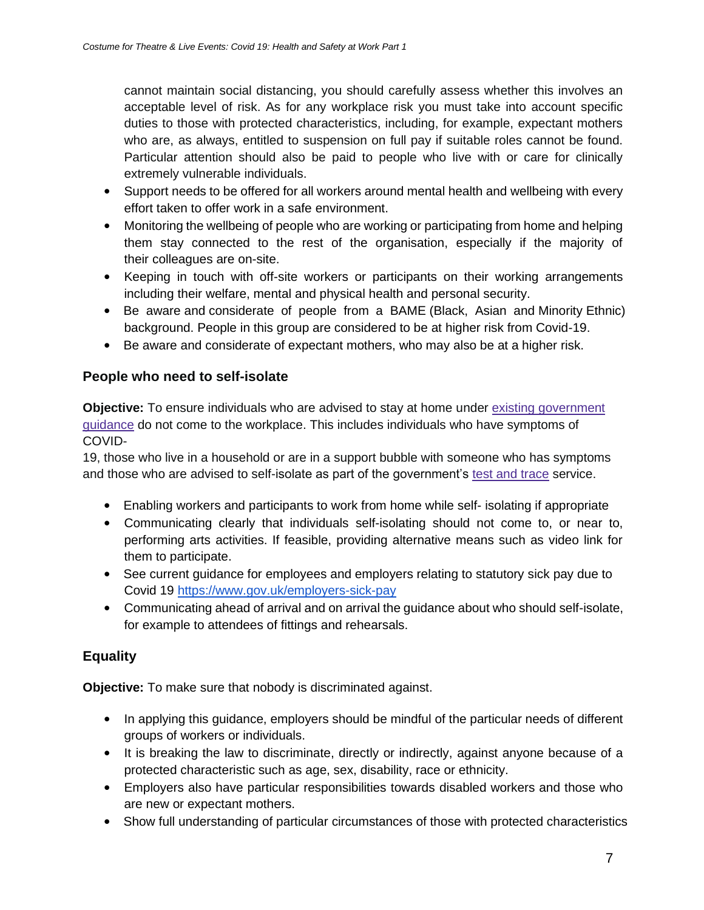cannot maintain social distancing, you should carefully assess whether this involves an acceptable level of risk. As for any workplace risk you must take into account specific duties to those with protected characteristics, including, for example, expectant mothers who are, as always, entitled to suspension on full pay if suitable roles cannot be found. Particular attention should also be paid to people who live with or care for clinically extremely vulnerable individuals.

- Support needs to be offered for all workers around mental health and wellbeing with every effort taken to offer work in a safe environment.
- Monitoring the wellbeing of people who are working or participating from home and helping them stay connected to the rest of the organisation, especially if the majority of their colleagues are on-site.
- Keeping in touch with off-site workers or participants on their working arrangements including their welfare, mental and physical health and personal security.
- Be aware and considerate of people from a BAME (Black, Asian and Minority Ethnic) background. People in this group are considered to be at higher risk from Covid-19.
- Be aware and considerate of expectant mothers, who may also be at a higher risk.

## **People who need to self-isolate**

**Objective:** To ensure individuals who are advised to stay at home under [existing government](https://www.gov.uk/government/publications/covid-19-stay-at-home-guidance) guidance [do not come to the workplace. This includes individuals who have symptoms of](https://www.gov.uk/government/publications/covid-19-stay-at-home-guidance)  [COVID-](https://www.gov.uk/government/publications/covid-19-stay-at-home-guidance)

19, those who live in a household or are in a support bubble with someone who has symptoms and those who are advised to self-isolate as part of the government's [test and trace](https://www.nhs.uk/conditions/coronavirus-covid-19/testing-and-tracing/) service.

- Enabling workers and participants to work from home while self- isolating if appropriate
- Communicating clearly that individuals self-isolating should not come to, or near to, performing arts activities. If feasible, providing alternative means such as video link for them to participate.
- See current guidance for employees and employers relating to statutory sick pay due to Covid 19<https://www.gov.uk/employers-sick-pay>
- Communicating ahead of arrival and on arrival the guidance about who should self-isolate, for example to attendees of fittings and rehearsals.

# **Equality**

**Objective:** To make sure that nobody is discriminated against.

- In applying this guidance, employers should be mindful of the particular needs of different groups of workers or individuals.
- It is breaking the law to discriminate, directly or indirectly, against anyone because of a protected characteristic such as age, sex, disability, race or ethnicity.
- Employers also have particular responsibilities towards disabled workers and those who are new or expectant mothers.
- Show full understanding of particular circumstances of those with protected characteristics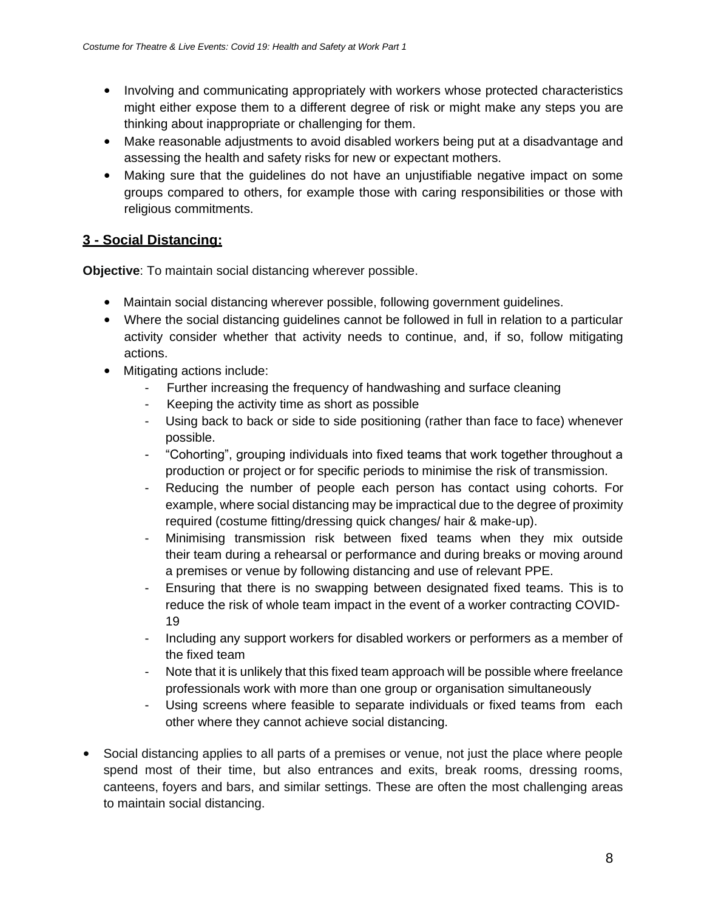- Involving and communicating appropriately with workers whose protected characteristics might either expose them to a different degree of risk or might make any steps you are thinking about inappropriate or challenging for them.
- Make reasonable adjustments to avoid disabled workers being put at a disadvantage and assessing the health and safety risks for new or expectant mothers.
- Making sure that the guidelines do not have an unjustifiable negative impact on some groups compared to others, for example those with caring responsibilities or those with religious commitments.

# **3 - Social Distancing:**

**Objective**: To maintain social distancing wherever possible.

- Maintain social distancing wherever possible, following government guidelines.
- Where the social distancing guidelines cannot be followed in full in relation to a particular activity consider whether that activity needs to continue, and, if so, follow mitigating actions.
- Mitigating actions include:
	- Further increasing the frequency of handwashing and surface cleaning
	- Keeping the activity time as short as possible
	- Using back to back or side to side positioning (rather than face to face) whenever possible.
	- "Cohorting", grouping individuals into fixed teams that work together throughout a production or project or for specific periods to minimise the risk of transmission.
	- Reducing the number of people each person has contact using cohorts. For example, where social distancing may be impractical due to the degree of proximity required (costume fitting/dressing quick changes/ hair & make-up).
	- Minimising transmission risk between fixed teams when they mix outside their team during a rehearsal or performance and during breaks or moving around a premises or venue by following distancing and use of relevant PPE.
	- Ensuring that there is no swapping between designated fixed teams. This is to reduce the risk of whole team impact in the event of a worker contracting COVID-19
	- Including any support workers for disabled workers or performers as a member of the fixed team
	- Note that it is unlikely that this fixed team approach will be possible where freelance professionals work with more than one group or organisation simultaneously
	- Using screens where feasible to separate individuals or fixed teams from each other where they cannot achieve social distancing.
- Social distancing applies to all parts of a premises or venue, not just the place where people spend most of their time, but also entrances and exits, break rooms, dressing rooms, canteens, foyers and bars, and similar settings. These are often the most challenging areas to maintain social distancing.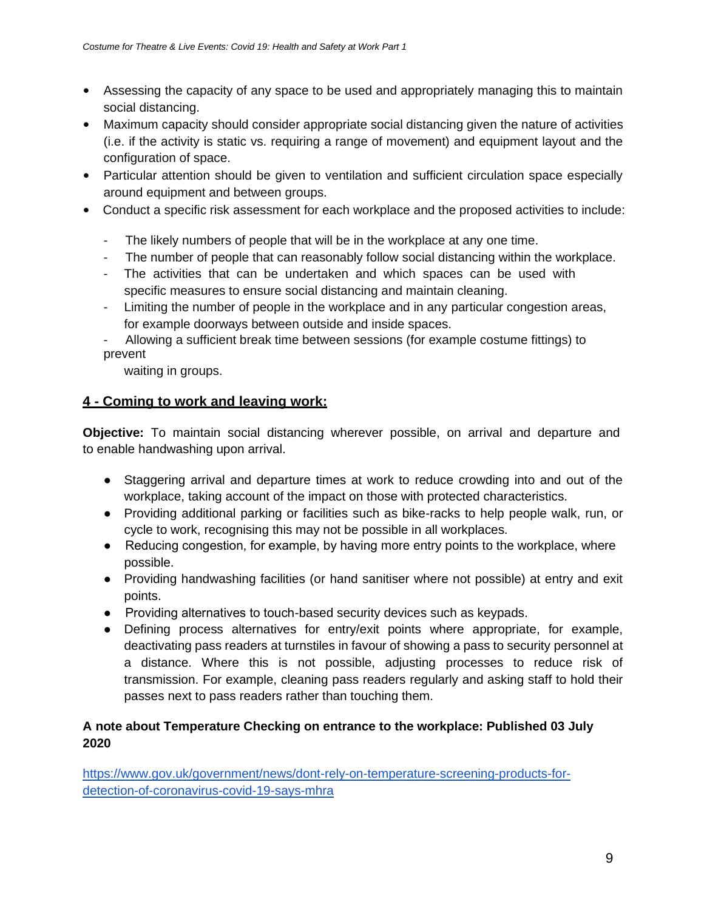- Assessing the capacity of any space to be used and appropriately managing this to maintain social distancing.
- Maximum capacity should consider appropriate social distancing given the nature of activities (i.e. if the activity is static vs. requiring a range of movement) and equipment layout and the configuration of space.
- Particular attention should be given to ventilation and sufficient circulation space especially around equipment and between groups.
- Conduct a specific risk assessment for each workplace and the proposed activities to include:
	- The likely numbers of people that will be in the workplace at any one time.
	- The number of people that can reasonably follow social distancing within the workplace.
	- The activities that can be undertaken and which spaces can be used with specific measures to ensure social distancing and maintain cleaning.
	- Limiting the number of people in the workplace and in any particular congestion areas, for example doorways between outside and inside spaces.
	- Allowing a sufficient break time between sessions (for example costume fittings) to prevent

waiting in groups.

# **4 - Coming to work and leaving work:**

**Objective:** To maintain social distancing wherever possible, on arrival and departure and to enable handwashing upon arrival.

- Staggering arrival and departure times at work to reduce crowding into and out of the workplace, taking account of the impact on those with protected characteristics.
- Providing additional parking or facilities such as bike-racks to help people walk, run, or cycle to work, recognising this may not be possible in all workplaces.
- Reducing congestion, for example, by having more entry points to the workplace, where possible.
- Providing handwashing facilities (or hand sanitiser where not possible) at entry and exit points.
- Providing alternatives to touch-based security devices such as keypads.
- Defining process alternatives for entry/exit points where appropriate, for example, deactivating pass readers at turnstiles in favour of showing a pass to security personnel at a distance. Where this is not possible, adjusting processes to reduce risk of transmission. For example, cleaning pass readers regularly and asking staff to hold their passes next to pass readers rather than touching them.

## **A note about Temperature Checking on entrance to the workplace: Published 03 July 2020**

[https://www.gov.uk/government/news/dont-rely-on-temperature-screening-products-for](https://www.gov.uk/government/news/dont-rely-on-temperature-screening-products-for-detection-of-coronavirus-covid-19-says-mhra)[detection-of-coronavirus-covid-19-says-mhra](https://www.gov.uk/government/news/dont-rely-on-temperature-screening-products-for-detection-of-coronavirus-covid-19-says-mhra)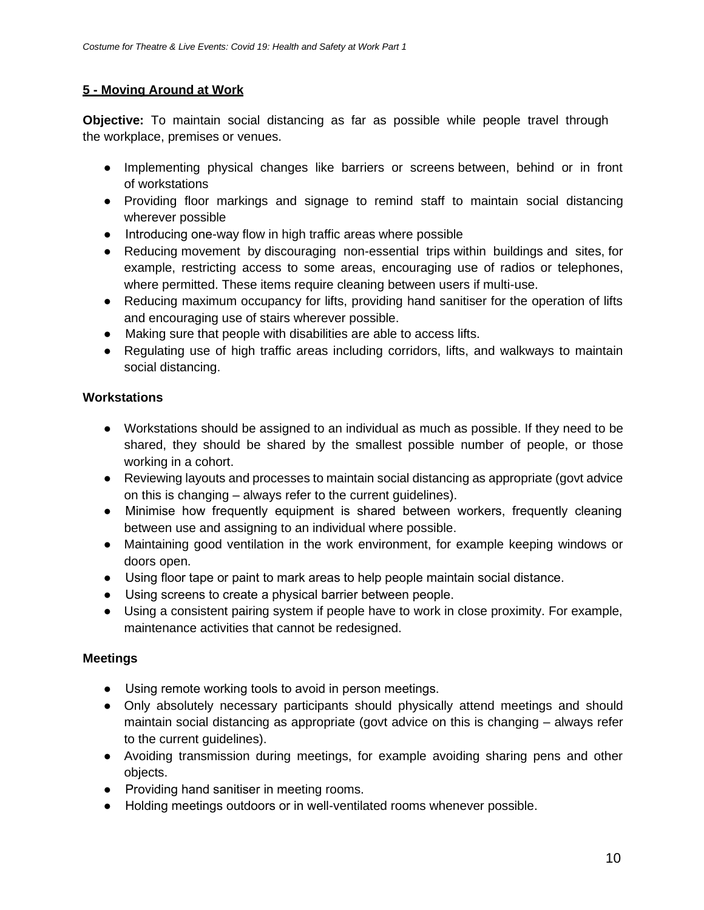### **5 - Moving Around at Work**

**Objective:** To maintain social distancing as far as possible while people travel through the workplace, premises or venues.

- Implementing physical changes like barriers or screens between, behind or in front of workstations
- Providing floor markings and signage to remind staff to maintain social distancing wherever possible
- Introducing one-way flow in high traffic areas where possible
- Reducing movement by discouraging non-essential trips within buildings and sites, for example, restricting access to some areas, encouraging use of radios or telephones, where permitted. These items require cleaning between users if multi-use.
- Reducing maximum occupancy for lifts, providing hand sanitiser for the operation of lifts and encouraging use of stairs wherever possible.
- Making sure that people with disabilities are able to access lifts.
- Regulating use of high traffic areas including corridors, lifts, and walkways to maintain social distancing.

## **Workstations**

- Workstations should be assigned to an individual as much as possible. If they need to be shared, they should be shared by the smallest possible number of people, or those working in a cohort.
- Reviewing layouts and processes to maintain social distancing as appropriate (govt advice on this is changing – always refer to the current guidelines).
- Minimise how frequently equipment is shared between workers, frequently cleaning between use and assigning to an individual where possible.
- Maintaining good ventilation in the work environment, for example keeping windows or doors open.
- Using floor tape or paint to mark areas to help people maintain social distance.
- Using screens to create a physical barrier between people.
- Using a consistent pairing system if people have to work in close proximity. For example, maintenance activities that cannot be redesigned.

### **Meetings**

- Using remote working tools to avoid in person meetings.
- Only absolutely necessary participants should physically attend meetings and should maintain social distancing as appropriate (govt advice on this is changing – always refer to the current guidelines).
- Avoiding transmission during meetings, for example avoiding sharing pens and other objects.
- Providing hand sanitiser in meeting rooms.
- Holding meetings outdoors or in well-ventilated rooms whenever possible.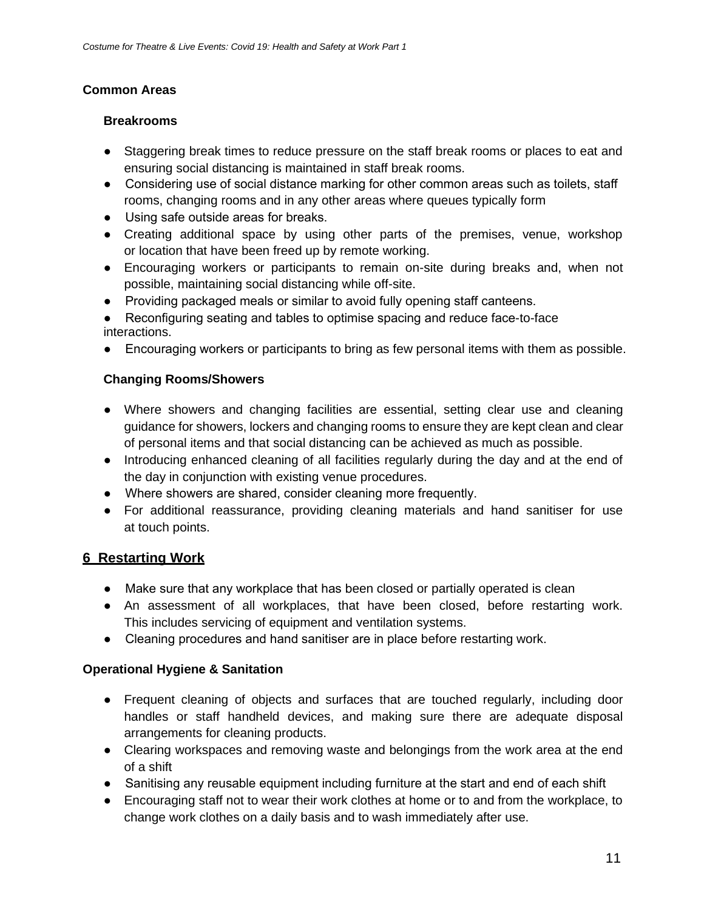### **Common Areas**

#### **Breakrooms**

- Staggering break times to reduce pressure on the staff break rooms or places to eat and ensuring social distancing is maintained in staff break rooms.
- Considering use of social distance marking for other common areas such as toilets, staff rooms, changing rooms and in any other areas where queues typically form
- Using safe outside areas for breaks.
- Creating additional space by using other parts of the premises, venue, workshop or location that have been freed up by remote working.
- Encouraging workers or participants to remain on-site during breaks and, when not possible, maintaining social distancing while off-site.
- Providing packaged meals or similar to avoid fully opening staff canteens.
- Reconfiguring seating and tables to optimise spacing and reduce face-to-face interactions.
- Encouraging workers or participants to bring as few personal items with them as possible.

## **Changing Rooms/Showers**

- Where showers and changing facilities are essential, setting clear use and cleaning guidance for showers, lockers and changing rooms to ensure they are kept clean and clear of personal items and that social distancing can be achieved as much as possible.
- Introducing enhanced cleaning of all facilities regularly during the day and at the end of the day in conjunction with existing venue procedures.
- Where showers are shared, consider cleaning more frequently.
- For additional reassurance, providing cleaning materials and hand sanitiser for use at touch points.

## **6 Restarting Work**

- Make sure that any workplace that has been closed or partially operated is clean
- An assessment of all workplaces, that have been closed, before restarting work. This includes servicing of equipment and ventilation systems.
- Cleaning procedures and hand sanitiser are in place before restarting work.

## **Operational Hygiene & Sanitation**

- Frequent cleaning of objects and surfaces that are touched regularly, including door handles or staff handheld devices, and making sure there are adequate disposal arrangements for cleaning products.
- Clearing workspaces and removing waste and belongings from the work area at the end of a shift
- Sanitising any reusable equipment including furniture at the start and end of each shift
- Encouraging staff not to wear their work clothes at home or to and from the workplace, to change work clothes on a daily basis and to wash immediately after use.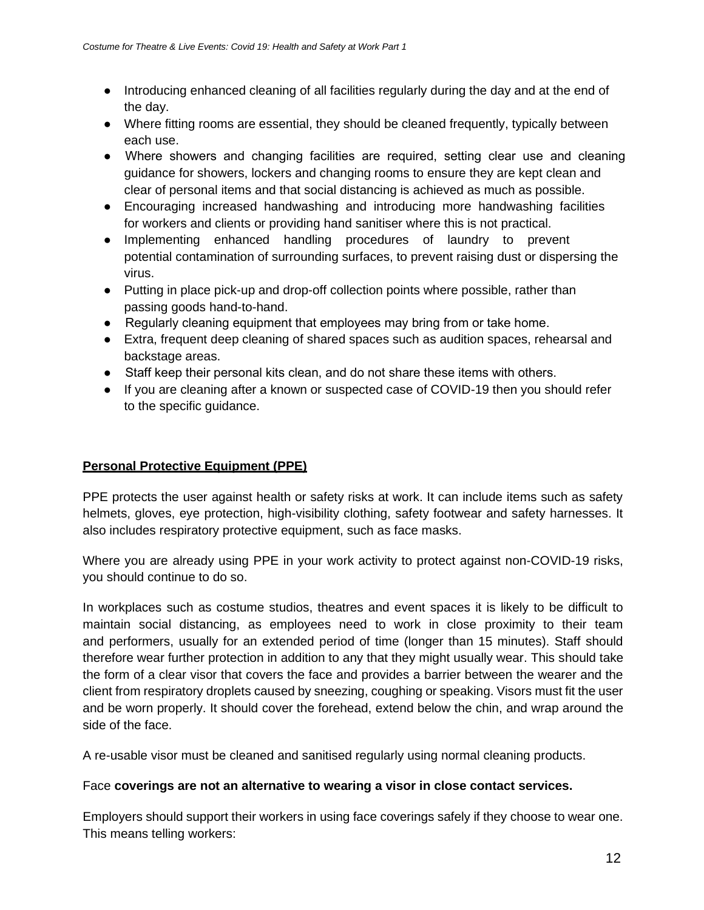- Introducing enhanced cleaning of all facilities regularly during the day and at the end of the day.
- Where fitting rooms are essential, they should be cleaned frequently, typically between each use.
- Where showers and changing facilities are required, setting clear use and cleaning guidance for showers, lockers and changing rooms to ensure they are kept clean and clear of personal items and that social distancing is achieved as much as possible.
- Encouraging increased handwashing and introducing more handwashing facilities for workers and clients or providing hand sanitiser where this is not practical.
- Implementing enhanced handling procedures of laundry to prevent potential contamination of surrounding surfaces, to prevent raising dust or dispersing the virus.
- Putting in place pick-up and drop-off collection points where possible, rather than passing goods hand-to-hand.
- Regularly cleaning equipment that employees may bring from or take home.
- Extra, frequent deep cleaning of shared spaces such as audition spaces, rehearsal and backstage areas.
- Staff keep their personal kits clean, and do not share these items with others.
- If you are cleaning after a known or suspected case of COVID-19 then you should refer to the specific guidance.

### **Personal Protective Equipment (PPE)**

PPE protects the user against health or safety risks at work. It can include items such as safety helmets, gloves, eye protection, high-visibility clothing, safety footwear and safety harnesses. It also includes respiratory protective equipment, such as face masks.

Where you are already using PPE in your work activity to protect against non-COVID-19 risks, you should continue to do so.

In workplaces such as costume studios, theatres and event spaces it is likely to be difficult to maintain social distancing, as employees need to work in close proximity to their team and performers, usually for an extended period of time (longer than 15 minutes). Staff should therefore wear further protection in addition to any that they might usually wear. This should take the form of a clear visor that covers the face and provides a barrier between the wearer and the client from respiratory droplets caused by sneezing, coughing or speaking. Visors must fit the user and be worn properly. It should cover the forehead, extend below the chin, and wrap around the side of the face.

A re-usable visor must be cleaned and sanitised regularly using normal cleaning products.

### Face **coverings are not an alternative to wearing a visor in close contact services.**

Employers should support their workers in using face coverings safely if they choose to wear one. This means telling workers: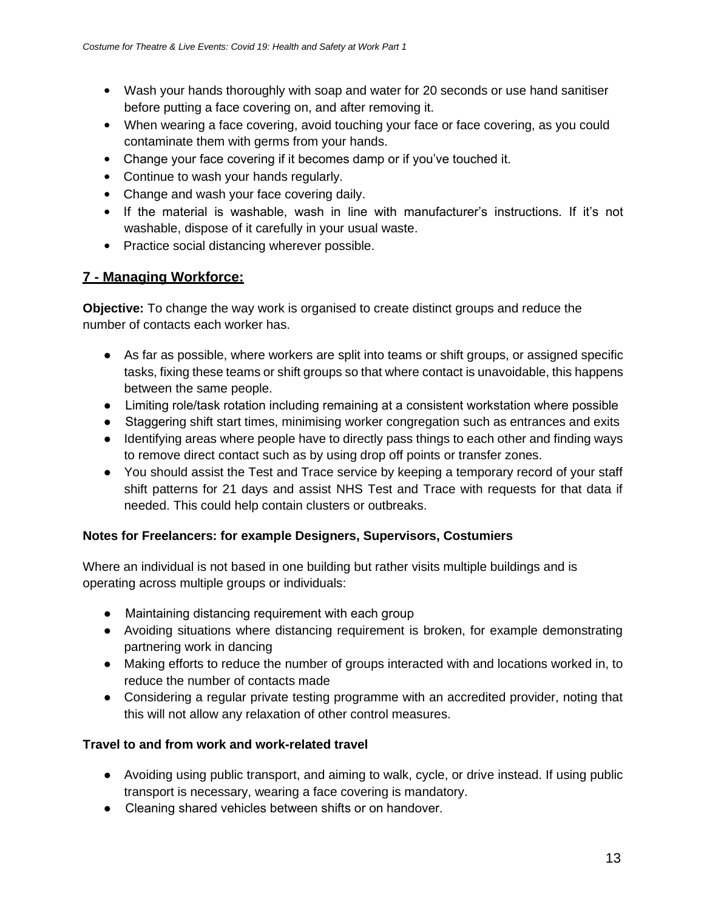- Wash your hands thoroughly with soap and water for 20 seconds or use hand sanitiser before putting a face covering on, and after removing it.
- When wearing a face covering, avoid touching your face or face covering, as you could contaminate them with germs from your hands.
- Change your face covering if it becomes damp or if you've touched it.
- Continue to wash your hands regularly.
- Change and wash your face covering daily.
- If the material is washable, wash in line with manufacturer's instructions. If it's not washable, dispose of it carefully in your usual waste.
- Practice social distancing wherever possible.

# **7 - Managing Workforce:**

**Objective:** To change the way work is organised to create distinct groups and reduce the number of contacts each worker has.

- As far as possible, where workers are split into teams or shift groups, or assigned specific tasks, fixing these teams or shift groups so that where contact is unavoidable, this happens between the same people.
- Limiting role/task rotation including remaining at a consistent workstation where possible
- Staggering shift start times, minimising worker congregation such as entrances and exits
- Identifying areas where people have to directly pass things to each other and finding ways to remove direct contact such as by using drop off points or transfer zones.
- You should assist the Test and Trace service by keeping a temporary record of your staff shift patterns for 21 days and assist NHS Test and Trace with requests for that data if needed. This could help contain clusters or outbreaks.

### **Notes for Freelancers: for example Designers, Supervisors, Costumiers**

Where an individual is not based in one building but rather visits multiple buildings and is operating across multiple groups or individuals:

- Maintaining distancing requirement with each group
- Avoiding situations where distancing requirement is broken, for example demonstrating partnering work in dancing
- Making efforts to reduce the number of groups interacted with and locations worked in, to reduce the number of contacts made
- Considering a regular private testing programme with an accredited provider, noting that this will not allow any relaxation of other control measures.

### **Travel to and from work and work-related travel**

- Avoiding using public transport, and aiming to walk, cycle, or drive instead. If using public transport is necessary, wearing a face covering is mandatory.
- Cleaning shared vehicles between shifts or on handover.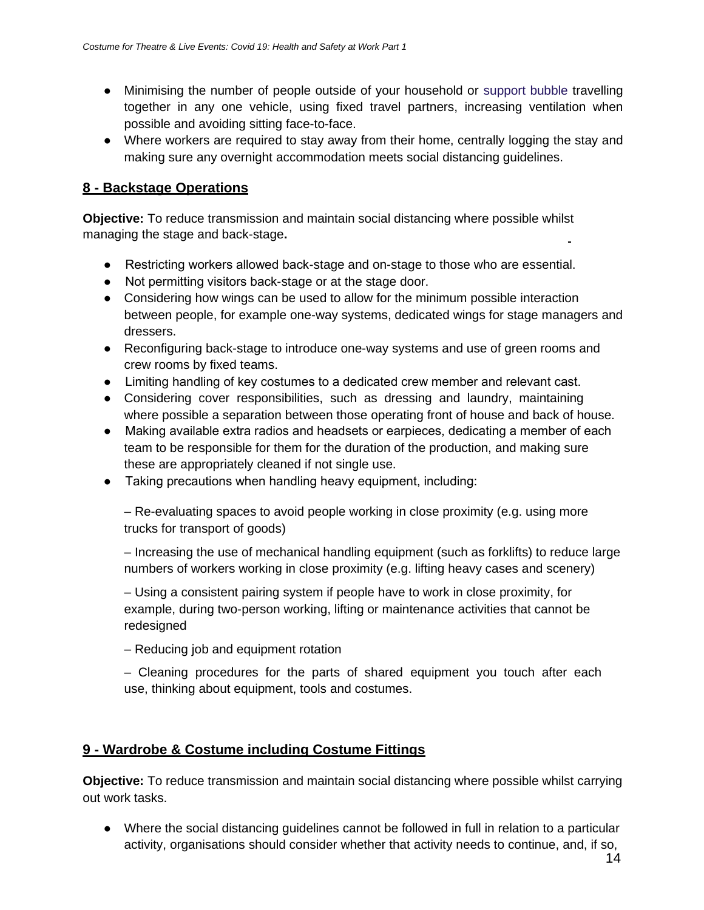- Minimising the number of people outside of your household or support bubble travelling together in any one vehicle, using fixed travel partners, increasing ventilation when possible and avoiding sitting face-to-face.
- Where workers are required to stay away from their home, centrally logging the stay and making sure any overnight accommodation meets social distancing guidelines.

## **8 - Backstage Operations**

**Objective:** To reduce transmission and maintain social distancing where possible whilst managing the stage and back-stage**.**

- Restricting workers allowed back-stage and on-stage to those who are essential.
- Not permitting visitors back-stage or at the stage door.
- Considering how wings can be used to allow for the minimum possible interaction between people, for example one-way systems, dedicated wings for stage managers and dressers.
- Reconfiguring back-stage to introduce one-way systems and use of green rooms and crew rooms by fixed teams.
- Limiting handling of key costumes to a dedicated crew member and relevant cast.
- Considering cover responsibilities, such as dressing and laundry, maintaining where possible a separation between those operating front of house and back of house.
- Making available extra radios and headsets or earpieces, dedicating a member of each team to be responsible for them for the duration of the production, and making sure these are appropriately cleaned if not single use.
- Taking precautions when handling heavy equipment, including:

– Re-evaluating spaces to avoid people working in close proximity (e.g. using more trucks for transport of goods)

– Increasing the use of mechanical handling equipment (such as forklifts) to reduce large numbers of workers working in close proximity (e.g. lifting heavy cases and scenery)

– Using a consistent pairing system if people have to work in close proximity, for example, during two-person working, lifting or maintenance activities that cannot be redesigned

– Reducing job and equipment rotation

– Cleaning procedures for the parts of shared equipment you touch after each use, thinking about equipment, tools and costumes.

## **9 - Wardrobe & Costume including Costume Fittings**

**Objective:** To reduce transmission and maintain social distancing where possible whilst carrying out work tasks.

● Where the social distancing guidelines cannot be followed in full in relation to a particular activity, organisations should consider whether that activity needs to continue, and, if so,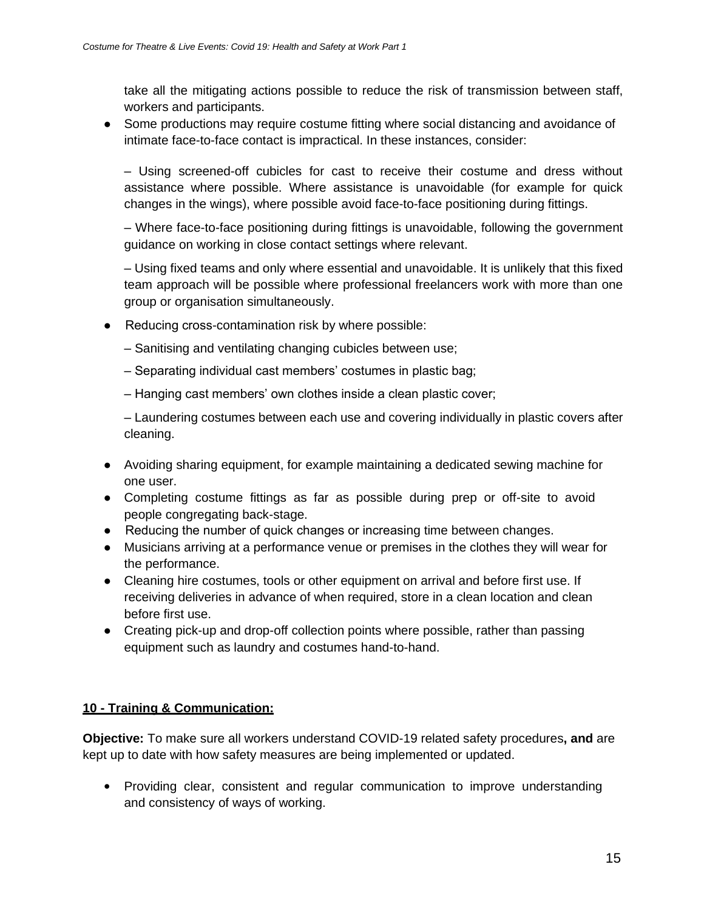take all the mitigating actions possible to reduce the risk of transmission between staff, workers and participants.

• Some productions may require costume fitting where social distancing and avoidance of intimate face-to-face contact is impractical. In these instances, consider:

– Using screened-off cubicles for cast to receive their costume and dress without assistance where possible. Where assistance is unavoidable (for example for quick changes in the wings), where possible avoid face-to-face positioning during fittings.

– Where face-to-face positioning during fittings is unavoidable, following the government guidance on working in close contact settings where relevant.

– Using fixed teams and only where essential and unavoidable. It is unlikely that this fixed team approach will be possible where professional freelancers work with more than one group or organisation simultaneously.

- Reducing cross-contamination risk by where possible:
	- Sanitising and ventilating changing cubicles between use;
	- Separating individual cast members' costumes in plastic bag;
	- Hanging cast members' own clothes inside a clean plastic cover;

– Laundering costumes between each use and covering individually in plastic covers after cleaning.

- Avoiding sharing equipment, for example maintaining a dedicated sewing machine for one user.
- Completing costume fittings as far as possible during prep or off-site to avoid people congregating back-stage.
- Reducing the number of quick changes or increasing time between changes.
- Musicians arriving at a performance venue or premises in the clothes they will wear for the performance.
- Cleaning hire costumes, tools or other equipment on arrival and before first use. If receiving deliveries in advance of when required, store in a clean location and clean before first use.
- Creating pick-up and drop-off collection points where possible, rather than passing equipment such as laundry and costumes hand-to-hand.

### **10 - Training & Communication:**

**Objective:** To make sure all workers understand COVID-19 related safety procedures**, and** are kept up to date with how safety measures are being implemented or updated.

• Providing clear, consistent and regular communication to improve understanding and consistency of ways of working.